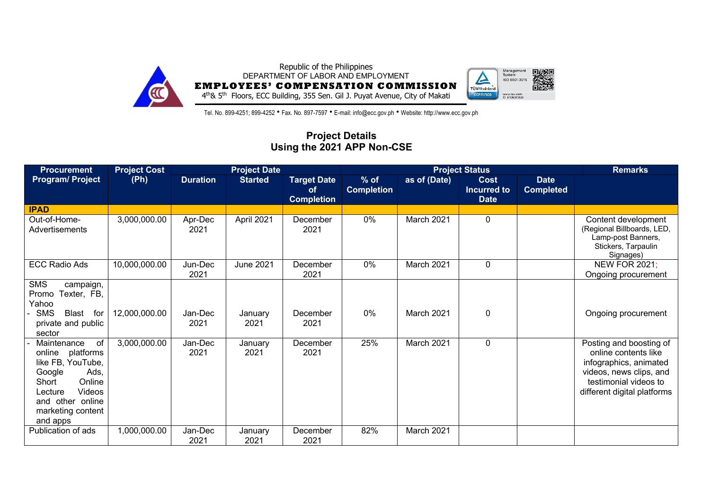

Republic of the Philippines DEPARTMENT OF LABOR AND EMPLOYMENT **EMPLOYEES' COMPENSATION COMMISSION**



4th& 5th Floors, ECC Building, 355 Sen. Gil J. Puyat Avenue, City of Makati

Tel. No. 899-4251; 899-4252 • Fax. No. 897-7597 • E-mail: info@ecc.gov.ph • Website: http://www.ecc.gov.ph

## **Project Details Using the 2021 APP Non-CSE**

| <b>Project Cost</b><br><b>Project Date</b><br><b>Procurement</b>                                                                                                             |               |                 |                  |                                               |                             |              | <b>Project Status</b>                            |                                 | <b>Remarks</b>                                                                                                                                               |
|------------------------------------------------------------------------------------------------------------------------------------------------------------------------------|---------------|-----------------|------------------|-----------------------------------------------|-----------------------------|--------------|--------------------------------------------------|---------------------------------|--------------------------------------------------------------------------------------------------------------------------------------------------------------|
| <b>Program/Project</b>                                                                                                                                                       | (Ph)          | <b>Duration</b> | <b>Started</b>   | <b>Target Date</b><br>of<br><b>Completion</b> | $%$ of<br><b>Completion</b> | as of (Date) | <b>Cost</b><br><b>Incurred to</b><br><b>Date</b> | <b>Date</b><br><b>Completed</b> |                                                                                                                                                              |
| <b>IPAD</b>                                                                                                                                                                  |               |                 |                  |                                               |                             |              |                                                  |                                 |                                                                                                                                                              |
| Out-of-Home-<br>Advertisements                                                                                                                                               | 3,000,000.00  | Apr-Dec<br>2021 | April 2021       | December<br>2021                              | $0\%$                       | March 2021   | 0                                                |                                 | Content development<br>(Regional Billboards, LED,<br>Lamp-post Banners,<br>Stickers, Tarpaulin<br>Signages)                                                  |
| <b>ECC Radio Ads</b>                                                                                                                                                         | 10,000,000.00 | Jun-Dec<br>2021 | <b>June 2021</b> | December<br>2021                              | $0\%$                       | March 2021   | 0                                                |                                 | <b>NEW FOR 2021;</b><br>Ongoing procurement                                                                                                                  |
| <b>SMS</b><br>campaign,<br>Promo<br>Texter, FB,<br>Yahoo<br><b>SMS</b><br>Blast<br>for<br>private and public<br>sector                                                       | 12,000,000.00 | Jan-Dec<br>2021 | January<br>2021  | December<br>2021                              | 0%                          | March 2021   | 0                                                |                                 | Ongoing procurement                                                                                                                                          |
| Maintenance<br>of<br>platforms<br>online<br>like FB, YouTube,<br>Google<br>Ads.<br>Online<br>Short<br>Videos<br>Lecture<br>and other online<br>marketing content<br>and apps | 3,000,000.00  | Jan-Dec<br>2021 | January<br>2021  | December<br>2021                              | 25%                         | March 2021   | 0                                                |                                 | Posting and boosting of<br>online contents like<br>infographics, animated<br>videos, news clips, and<br>testimonial videos to<br>different digital platforms |
| Publication of ads                                                                                                                                                           | 1,000,000.00  | Jan-Dec<br>2021 | January<br>2021  | December<br>2021                              | 82%                         | March 2021   |                                                  |                                 |                                                                                                                                                              |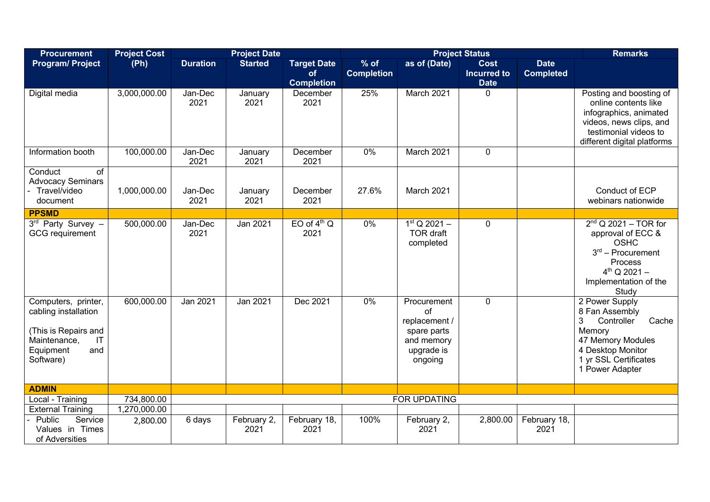| <b>Procurement</b>                                                                                                                             | <b>Project Cost</b> |                 | <b>Project Date</b> |                                               |                             | <b>Remarks</b>                                                                           |                                                  |                                 |                                                                                                                                                              |
|------------------------------------------------------------------------------------------------------------------------------------------------|---------------------|-----------------|---------------------|-----------------------------------------------|-----------------------------|------------------------------------------------------------------------------------------|--------------------------------------------------|---------------------------------|--------------------------------------------------------------------------------------------------------------------------------------------------------------|
| <b>Program/ Project</b>                                                                                                                        | (Ph)                | <b>Duration</b> | <b>Started</b>      | <b>Target Date</b><br>of<br><b>Completion</b> | $%$ of<br><b>Completion</b> | as of (Date)                                                                             | <b>Cost</b><br><b>Incurred to</b><br><b>Date</b> | <b>Date</b><br><b>Completed</b> |                                                                                                                                                              |
| Digital media                                                                                                                                  | 3,000,000.00        | Jan-Dec<br>2021 | January<br>2021     | December<br>2021                              | 25%                         | March 2021                                                                               | 0                                                |                                 | Posting and boosting of<br>online contents like<br>infographics, animated<br>videos, news clips, and<br>testimonial videos to<br>different digital platforms |
| Information booth                                                                                                                              | 100,000.00          | Jan-Dec<br>2021 | January<br>2021     | December<br>2021                              | 0%                          | March 2021                                                                               | 0                                                |                                 |                                                                                                                                                              |
| Conduct<br>of<br><b>Advocacy Seminars</b><br>Travel/video<br>document                                                                          | 1,000,000.00        | Jan-Dec<br>2021 | January<br>2021     | December<br>2021                              | 27.6%                       | March 2021                                                                               |                                                  |                                 | Conduct of ECP<br>webinars nationwide                                                                                                                        |
| <b>PPSMD</b>                                                                                                                                   |                     |                 |                     |                                               |                             |                                                                                          |                                                  |                                 |                                                                                                                                                              |
| 3rd Party Survey -<br><b>GCG</b> requirement                                                                                                   | 500,000.00          | Jan-Dec<br>2021 | Jan 2021            | EO of $4th$ Q<br>2021                         | $0\%$                       | $1st Q 2021 -$<br><b>TOR draft</b><br>completed                                          | 0                                                |                                 | $2nd$ Q 2021 - TOR for<br>approval of ECC &<br><b>OSHC</b><br>$3rd$ – Procurement<br>Process<br>$4^{th}$ Q 2021 -<br>Implementation of the<br>Study          |
| Computers, printer,<br>cabling installation<br>(This is Repairs and<br>Maintenance,<br>$\mathsf{I}\mathsf{T}$<br>Equipment<br>and<br>Software) | 600,000.00          | Jan 2021        | Jan 2021            | Dec 2021                                      | $0\%$                       | Procurement<br>of<br>replacement /<br>spare parts<br>and memory<br>upgrade is<br>ongoing | 0                                                |                                 | 2 Power Supply<br>8 Fan Assembly<br>3<br>Controller<br>Cache<br>Memory<br>47 Memory Modules<br>4 Desktop Monitor<br>1 yr SSL Certificates<br>1 Power Adapter |
| <b>ADMIN</b>                                                                                                                                   |                     |                 |                     |                                               |                             |                                                                                          |                                                  |                                 |                                                                                                                                                              |
| Local - Training                                                                                                                               | 734,800.00          |                 |                     |                                               |                             | FOR UPDATING                                                                             |                                                  |                                 |                                                                                                                                                              |
| <b>External Training</b>                                                                                                                       | 1,270,000.00        |                 |                     |                                               |                             |                                                                                          |                                                  |                                 |                                                                                                                                                              |
| Service<br>Public<br>Values in Times<br>of Adversities                                                                                         | 2,800.00            | 6 days          | February 2,<br>2021 | February 18,<br>2021                          | 100%                        | February 2,<br>2021                                                                      | 2,800.00                                         | February 18,<br>2021            |                                                                                                                                                              |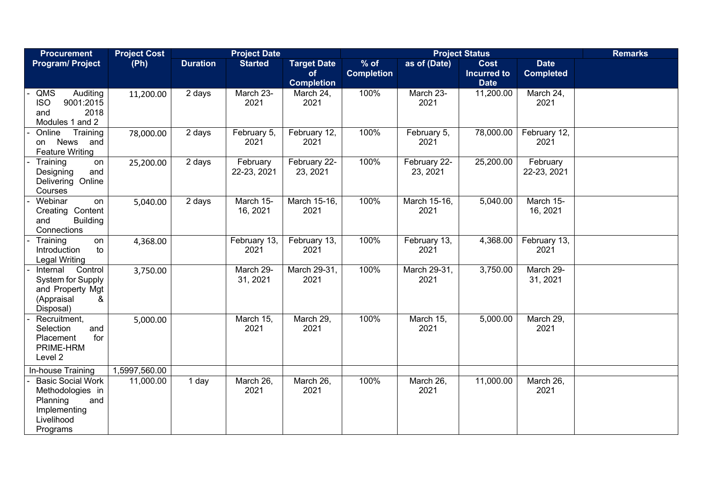| <b>Procurement</b>                                                                                        | <b>Project Cost</b> |                 | <b>Project Date</b>     |                                               |                             | <b>Remarks</b>           |                                                  |                                 |  |
|-----------------------------------------------------------------------------------------------------------|---------------------|-----------------|-------------------------|-----------------------------------------------|-----------------------------|--------------------------|--------------------------------------------------|---------------------------------|--|
| <b>Program/ Project</b>                                                                                   | (Ph)                | <b>Duration</b> | <b>Started</b>          | <b>Target Date</b><br>of<br><b>Completion</b> | $%$ of<br><b>Completion</b> | as of (Date)             | <b>Cost</b><br><b>Incurred to</b><br><b>Date</b> | <b>Date</b><br><b>Completed</b> |  |
| QMS<br>Auditing<br><b>ISO</b><br>9001:2015<br>2018<br>and<br>Modules 1 and 2                              | 11,200.00           | 2 days          | March 23-<br>2021       | March 24,<br>2021                             | 100%                        | March 23-<br>2021        | 11,200.00                                        | March 24,<br>2021               |  |
| Online<br>Training<br><b>News</b><br>and<br>on<br><b>Feature Writing</b>                                  | 78,000.00           | 2 days          | February 5,<br>2021     | February 12,<br>2021                          | 100%                        | February 5,<br>2021      | 78,000.00                                        | February 12,<br>2021            |  |
| Training<br>on<br>and<br>Designing<br>Delivering Online<br>Courses                                        | 25,200.00           | 2 days          | February<br>22-23, 2021 | February 22-<br>23, 2021                      | 100%                        | February 22-<br>23, 2021 | 25,200.00                                        | February<br>22-23, 2021         |  |
| Webinar<br>on<br>Content<br>Creating<br><b>Building</b><br>and<br>Connections                             | 5,040.00            | 2 days          | March 15-<br>16, 2021   | March 15-16,<br>2021                          | 100%                        | March 15-16,<br>2021     | 5,040.00                                         | March 15-<br>16, 2021           |  |
| Training<br>on<br>Introduction<br>to<br><b>Legal Writing</b>                                              | 4,368.00            |                 | February 13,<br>2021    | February 13,<br>2021                          | 100%                        | February 13,<br>2021     | 4,368.00                                         | February 13,<br>2021            |  |
| Control<br>Internal<br>System for Supply<br>and Property Mgt<br>(Appraisal<br>&<br>Disposal)              | 3,750.00            |                 | March 29-<br>31, 2021   | March 29-31,<br>2021                          | 100%                        | March 29-31,<br>2021     | 3,750.00                                         | March 29-<br>31, 2021           |  |
| Recruitment,<br>Selection<br>and<br>Placement<br>for<br>PRIME-HRM<br>Level 2                              | 5,000.00            |                 | March 15,<br>2021       | March 29,<br>2021                             | 100%                        | March 15,<br>2021        | 5,000.00                                         | March 29,<br>2021               |  |
| In-house Training                                                                                         | 1,5997,560.00       |                 |                         |                                               |                             |                          |                                                  |                                 |  |
| <b>Basic Social Work</b><br>Methodologies in<br>and<br>Planning<br>Implementing<br>Livelihood<br>Programs | 11,000.00           | 1 day           | March 26,<br>2021       | March 26,<br>2021                             | 100%                        | March 26,<br>2021        | 11,000.00                                        | March 26,<br>2021               |  |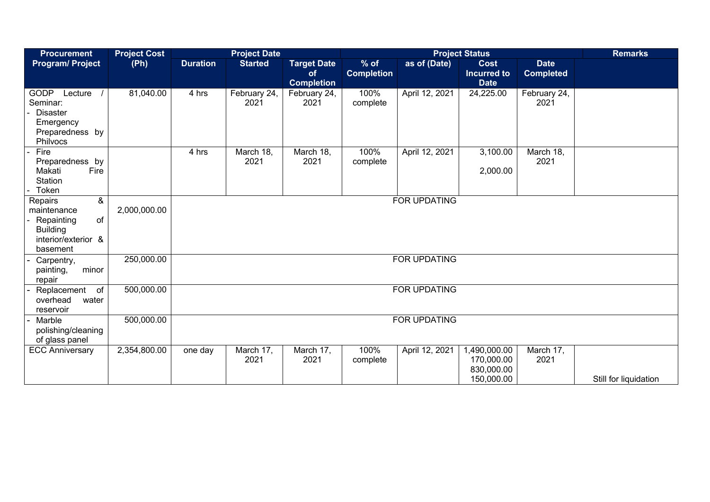| <b>Procurement</b>                                                                                    | <b>Project Cost</b> | <b>Project Date</b><br><b>Project Status</b> |                      |                                               |                             |                     |                                                        |                                 | <b>Remarks</b>        |
|-------------------------------------------------------------------------------------------------------|---------------------|----------------------------------------------|----------------------|-----------------------------------------------|-----------------------------|---------------------|--------------------------------------------------------|---------------------------------|-----------------------|
| <b>Program/Project</b>                                                                                | (Ph)                | <b>Duration</b>                              | <b>Started</b>       | <b>Target Date</b><br>of<br><b>Completion</b> | $%$ of<br><b>Completion</b> | as of (Date)        | <b>Cost</b><br><b>Incurred to</b><br><b>Date</b>       | <b>Date</b><br><b>Completed</b> |                       |
| <b>GODP</b><br>Lecture<br>Seminar:<br><b>Disaster</b><br>Emergency<br>Preparedness by<br>Philvocs     | 81,040.00           | 4 hrs                                        | February 24,<br>2021 | February 24,<br>2021                          | 100%<br>complete            | April 12, 2021      | 24,225.00                                              | February 24,<br>2021            |                       |
| Fire<br>Preparedness by<br>Fire<br>Makati<br>Station<br>Token                                         |                     | 4 hrs                                        | March 18,<br>2021    | March 18,<br>2021                             | 100%<br>complete            | April 12, 2021      | 3,100.00<br>2,000.00                                   | March 18,<br>2021               |                       |
| &<br>Repairs<br>maintenance<br>of<br>Repainting<br><b>Building</b><br>interior/exterior &<br>basement | 2,000,000.00        |                                              |                      |                                               |                             | <b>FOR UPDATING</b> |                                                        |                                 |                       |
| Carpentry,<br>minor<br>painting,<br>repair                                                            | 250,000.00          | FOR UPDATING                                 |                      |                                               |                             |                     |                                                        |                                 |                       |
| Replacement<br>of<br>overhead<br>water<br>reservoir                                                   | 500,000.00          | FOR UPDATING                                 |                      |                                               |                             |                     |                                                        |                                 |                       |
| Marble<br>polishing/cleaning<br>of glass panel                                                        | 500,000.00          |                                              |                      |                                               |                             | <b>FOR UPDATING</b> |                                                        |                                 |                       |
| <b>ECC Anniversary</b>                                                                                | 2,354,800.00        | one day                                      | March 17,<br>2021    | March 17,<br>2021                             | 100%<br>complete            | April 12, 2021      | 1,490,000.00<br>170,000.00<br>830,000.00<br>150,000.00 | March 17,<br>2021               | Still for liquidation |